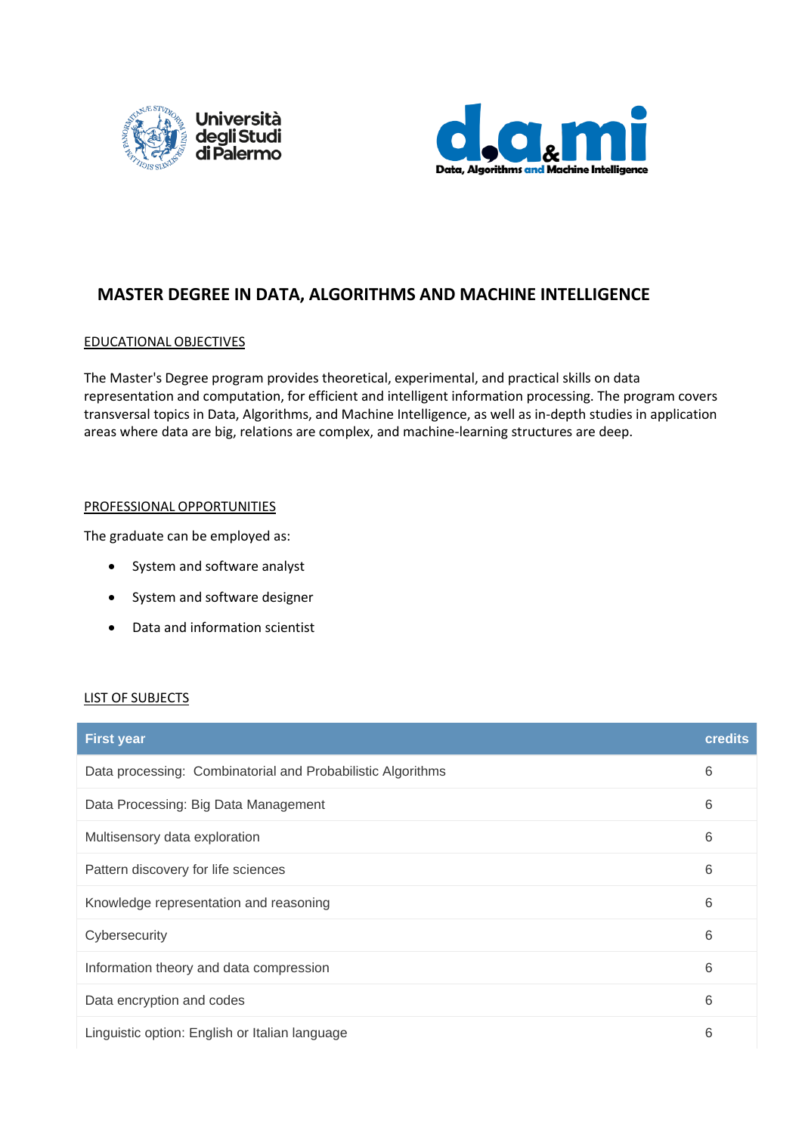



# **MASTER DEGREE IN DATA, ALGORITHMS AND MACHINE INTELLIGENCE**

# EDUCATIONAL OBJECTIVES

The Master's Degree program provides theoretical, experimental, and practical skills on data representation and computation, for efficient and intelligent information processing. The program covers transversal topics in Data, Algorithms, and Machine Intelligence, as well as in-depth studies in application areas where data are big, relations are complex, and machine-learning structures are deep.

# PROFESSIONAL OPPORTUNITIES

The graduate can be employed as:

- System and software analyst
- System and software designer
- Data and information scientist

#### LIST OF SUBJECTS

| <b>First year</b>                                           | <b>credits</b> |
|-------------------------------------------------------------|----------------|
| Data processing: Combinatorial and Probabilistic Algorithms | 6              |
| Data Processing: Big Data Management                        | 6              |
| Multisensory data exploration                               | 6              |
| Pattern discovery for life sciences                         | 6              |
| Knowledge representation and reasoning                      | 6              |
| Cybersecurity                                               | 6              |
| Information theory and data compression                     | 6              |
| Data encryption and codes                                   | 6              |
| Linguistic option: English or Italian language              | 6              |